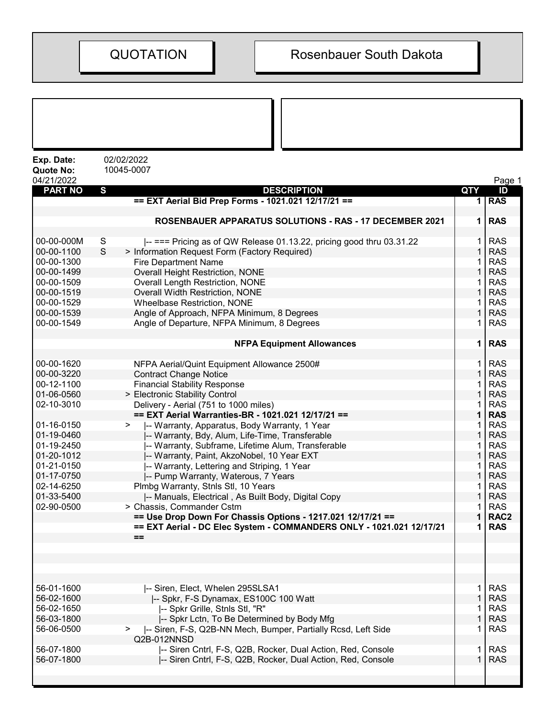| Exp. Date:<br><b>Quote No:</b> | 02/02/2022<br>10045-0007                                                                |             |                          |
|--------------------------------|-----------------------------------------------------------------------------------------|-------------|--------------------------|
| 04/21/2022                     |                                                                                         |             | Page 1                   |
| <b>PART NO</b>                 | S<br><b>DESCRIPTION</b>                                                                 | QTY         | ID                       |
|                                | == EXT Aerial Bid Prep Forms - 1021.021 12/17/21 ==                                     | 1           | <b>RAS</b>               |
|                                | <b>ROSENBAUER APPARATUS SOLUTIONS - RAS - 17 DECEMBER 2021</b>                          | 1           | <b>RAS</b>               |
| 00-00-000M                     | S<br>$\left  \right $ === Pricing as of QW Release 01.13.22, pricing good thru 03.31.22 |             | <b>RAS</b>               |
| 00-00-1100                     | S<br>> Information Request Form (Factory Required)                                      |             | <b>RAS</b>               |
| 00-00-1300                     | <b>Fire Department Name</b>                                                             |             | <b>RAS</b>               |
| 00-00-1499                     | <b>Overall Height Restriction, NONE</b>                                                 |             | <b>RAS</b>               |
| 00-00-1509                     | <b>Overall Length Restriction, NONE</b>                                                 |             | <b>RAS</b>               |
| 00-00-1519                     | Overall Width Restriction, NONE                                                         | 1           | <b>RAS</b>               |
| 00-00-1529                     | <b>Wheelbase Restriction, NONE</b>                                                      | 1           | <b>RAS</b>               |
| 00-00-1539                     | Angle of Approach, NFPA Minimum, 8 Degrees                                              |             | <b>RAS</b>               |
| 00-00-1549                     | Angle of Departure, NFPA Minimum, 8 Degrees                                             |             | <b>RAS</b>               |
|                                |                                                                                         |             |                          |
|                                | <b>NFPA Equipment Allowances</b>                                                        | 1           | <b>RAS</b>               |
| 00-00-1620                     | NFPA Aerial/Quint Equipment Allowance 2500#                                             | 1           | <b>RAS</b>               |
| 00-00-3220                     | <b>Contract Change Notice</b>                                                           | 1           | <b>RAS</b>               |
| 00-12-1100                     | <b>Financial Stability Response</b>                                                     |             | <b>RAS</b>               |
| 01-06-0560                     | > Electronic Stability Control                                                          |             | <b>RAS</b>               |
| 02-10-3010                     | Delivery - Aerial (751 to 1000 miles)                                                   |             | <b>RAS</b>               |
|                                | == EXT Aerial Warranties-BR - 1021.021 12/17/21 ==                                      |             | <b>RAS</b>               |
| 01-16-0150                     | -- Warranty, Apparatus, Body Warranty, 1 Year<br>$\geq$                                 |             | <b>RAS</b>               |
| 01-19-0460                     | -- Warranty, Bdy, Alum, Life-Time, Transferable                                         |             | <b>RAS</b>               |
| 01-19-2450                     | -- Warranty, Subframe, Lifetime Alum, Transferable                                      |             | <b>RAS</b>               |
| 01-20-1012                     | -- Warranty, Paint, AkzoNobel, 10 Year EXT                                              | 1           | <b>RAS</b>               |
| 01-21-0150                     | -- Warranty, Lettering and Striping, 1 Year                                             |             | <b>RAS</b>               |
| 01-17-0750                     | -- Pump Warranty, Waterous, 7 Years                                                     |             | <b>RAS</b>               |
| 02-14-6250                     | Plmbg Warranty, Stnls Stl, 10 Years                                                     |             | <b>RAS</b>               |
| 01-33-5400                     | -- Manuals, Electrical, As Built Body, Digital Copy                                     |             | <b>RAS</b>               |
| 02-90-0500                     | > Chassis, Commander Cstm                                                               |             | <b>RAS</b>               |
|                                | == Use Drop Down For Chassis Options - 1217.021 12/17/21 ==                             | 1           | RAC <sub>2</sub>         |
|                                | == EXT Aerial - DC Elec System - COMMANDERS ONLY - 1021.021 12/17/21<br>$==$            | 1           | <b>RAS</b>               |
|                                |                                                                                         |             |                          |
|                                |                                                                                         |             |                          |
| 56-01-1600                     |                                                                                         |             |                          |
| 56-02-1600                     | -- Siren, Elect, Whelen 295SLSA1<br>-- Spkr, F-S Dynamax, ES100C 100 Watt               | 1           | <b>RAS</b><br><b>RAS</b> |
| 56-02-1650                     | -- Spkr Grille, Stnls Stl, "R"                                                          |             | <b>RAS</b>               |
| 56-03-1800                     | -- Spkr Lctn, To Be Determined by Body Mfg                                              | $\mathbf 1$ | <b>RAS</b>               |
| 56-06-0500                     | -- Siren, F-S, Q2B-NN Mech, Bumper, Partially Rcsd, Left Side<br>>                      | 1           | <b>RAS</b>               |
|                                | Q2B-012NNSD                                                                             |             |                          |
| 56-07-1800                     | -- Siren Cntrl, F-S, Q2B, Rocker, Dual Action, Red, Console                             | 1           | <b>RAS</b>               |
| 56-07-1800                     | -- Siren Cntrl, F-S, Q2B, Rocker, Dual Action, Red, Console                             |             | <b>RAS</b>               |
|                                |                                                                                         |             |                          |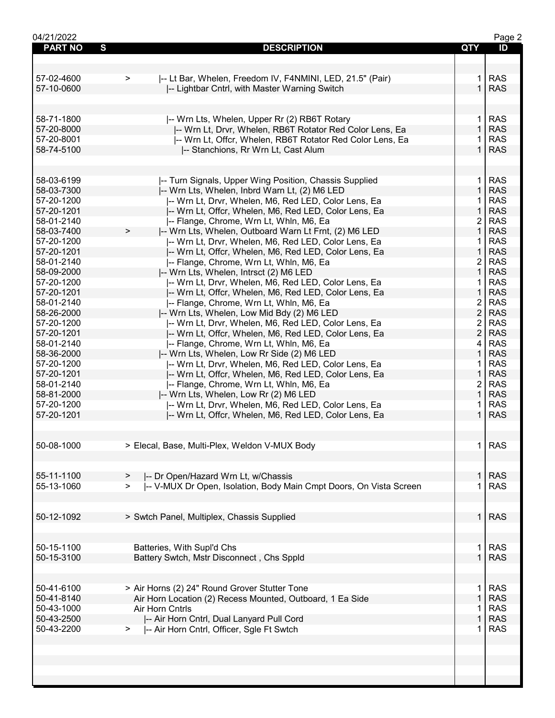| 04/21/2022          |                                                                               |                | Page 2     |
|---------------------|-------------------------------------------------------------------------------|----------------|------------|
| <b>PART NO</b><br>S | <b>DESCRIPTION</b>                                                            | QTY            | ID         |
|                     |                                                                               |                |            |
|                     |                                                                               |                |            |
|                     |                                                                               |                |            |
| 57-02-4600          | -- Lt Bar, Whelen, Freedom IV, F4NMINI, LED, 21.5" (Pair)<br>>                | 1.             | <b>RAS</b> |
| 57-10-0600          | -- Lightbar Cntrl, with Master Warning Switch                                 | $\mathbf{1}$   | <b>RAS</b> |
|                     |                                                                               |                |            |
|                     |                                                                               |                |            |
| 58-71-1800          | -- Wrn Lts, Whelen, Upper Rr (2) RB6T Rotary                                  | 1.             | <b>RAS</b> |
| 57-20-8000          | -- Wrn Lt, Drvr, Whelen, RB6T Rotator Red Color Lens, Ea                      | $\mathbf{1}$   | <b>RAS</b> |
| 57-20-8001          | I-- Wrn Lt, Offcr, Whelen, RB6T Rotator Red Color Lens, Ea                    |                | <b>RAS</b> |
| 58-74-5100          |                                                                               | 1.             | <b>RAS</b> |
|                     | -- Stanchions, Rr Wrn Lt, Cast Alum                                           |                |            |
|                     |                                                                               |                |            |
|                     |                                                                               |                |            |
| 58-03-6199          | -- Turn Signals, Upper Wing Position, Chassis Supplied                        | $\mathbf 1$    | <b>RAS</b> |
| 58-03-7300          | -- Wrn Lts, Whelen, Inbrd Warn Lt, (2) M6 LED                                 | $\mathbf{1}$   | <b>RAS</b> |
| 57-20-1200          | -- Wrn Lt, Drvr, Whelen, M6, Red LED, Color Lens, Ea                          | 1.             | <b>RAS</b> |
| 57-20-1201          | -- Wrn Lt, Offcr, Whelen, M6, Red LED, Color Lens, Ea                         | $\mathbf{1}$   | <b>RAS</b> |
| 58-01-2140          | -- Flange, Chrome, Wrn Lt, Whln, M6, Ea                                       | $\overline{2}$ | <b>RAS</b> |
| 58-03-7400          | I-- Wrn Lts, Whelen, Outboard Warn Lt Frnt, (2) M6 LED<br>$\geq$              | $\mathbf{1}$   | <b>RAS</b> |
|                     |                                                                               |                |            |
| 57-20-1200          | -- Wrn Lt, Drvr, Whelen, M6, Red LED, Color Lens, Ea                          | 1              | <b>RAS</b> |
| 57-20-1201          | -- Wrn Lt, Offcr, Whelen, M6, Red LED, Color Lens, Ea                         | $\mathbf{1}$   | <b>RAS</b> |
| 58-01-2140          | -- Flange, Chrome, Wrn Lt, Whln, M6, Ea                                       | $\overline{2}$ | <b>RAS</b> |
| 58-09-2000          | -- Wrn Lts, Whelen, Intrsct (2) M6 LED                                        | $\mathbf{1}$   | <b>RAS</b> |
| 57-20-1200          | -- Wrn Lt, Drvr, Whelen, M6, Red LED, Color Lens, Ea                          | 1.             | <b>RAS</b> |
| 57-20-1201          | -- Wrn Lt, Offcr, Whelen, M6, Red LED, Color Lens, Ea                         | $\mathbf{1}$   | <b>RAS</b> |
| 58-01-2140          | -- Flange, Chrome, Wrn Lt, Whln, M6, Ea                                       | $\overline{2}$ | <b>RAS</b> |
| 58-26-2000          | -- Wrn Lts, Whelen, Low Mid Bdy (2) M6 LED                                    | $\overline{2}$ | <b>RAS</b> |
|                     |                                                                               | $\overline{2}$ | <b>RAS</b> |
| 57-20-1200          | -- Wrn Lt, Drvr, Whelen, M6, Red LED, Color Lens, Ea                          |                |            |
| 57-20-1201          | -- Wrn Lt, Offcr, Whelen, M6, Red LED, Color Lens, Ea                         | $\overline{2}$ | <b>RAS</b> |
| 58-01-2140          | -- Flange, Chrome, Wrn Lt, Whln, M6, Ea                                       | 4              | <b>RAS</b> |
| 58-36-2000          | -- Wrn Lts, Whelen, Low Rr Side (2) M6 LED                                    | $\mathbf{1}$   | <b>RAS</b> |
| 57-20-1200          | -- Wrn Lt, Drvr, Whelen, M6, Red LED, Color Lens, Ea                          | 1.             | <b>RAS</b> |
| 57-20-1201          | -- Wrn Lt, Offcr, Whelen, M6, Red LED, Color Lens, Ea                         | $\mathbf{1}$   | <b>RAS</b> |
| 58-01-2140          | -- Flange, Chrome, Wrn Lt, Whln, M6, Ea                                       | $\overline{2}$ | <b>RAS</b> |
| 58-81-2000          | -- Wrn Lts, Whelen, Low Rr (2) M6 LED                                         | $\mathbf{1}$   | <b>RAS</b> |
| 57-20-1200          |                                                                               | 1              | <b>RAS</b> |
|                     | -- Wrn Lt, Drvr, Whelen, M6, Red LED, Color Lens, Ea                          |                |            |
| 57-20-1201          | -- Wrn Lt, Offcr, Whelen, M6, Red LED, Color Lens, Ea                         | $\mathbf 1$    | <b>RAS</b> |
|                     |                                                                               |                |            |
|                     |                                                                               |                |            |
| 50-08-1000          | > Elecal, Base, Multi-Plex, Weldon V-MUX Body                                 | $\mathbf 1$    | <b>RAS</b> |
|                     |                                                                               |                |            |
|                     |                                                                               |                |            |
| 55-11-1100          | -- Dr Open/Hazard Wrn Lt, w/Chassis<br>>                                      | 1.             | <b>RAS</b> |
| 55-13-1060          |                                                                               | 1              | <b>RAS</b> |
|                     | I-- V-MUX Dr Open, Isolation, Body Main Cmpt Doors, On Vista Screen<br>$\geq$ |                |            |
|                     |                                                                               |                |            |
|                     |                                                                               |                |            |
| 50-12-1092          | > Swtch Panel, Multiplex, Chassis Supplied                                    | $\mathbf{1}$   | <b>RAS</b> |
|                     |                                                                               |                |            |
|                     |                                                                               |                |            |
| 50-15-1100          | Batteries, With Supl'd Chs                                                    | 1.             | <b>RAS</b> |
| 50-15-3100          | Battery Swtch, Mstr Disconnect, Chs Sppld                                     | 1              | <b>RAS</b> |
|                     |                                                                               |                |            |
|                     |                                                                               |                |            |
|                     |                                                                               |                |            |
| 50-41-6100          | > Air Horns (2) 24" Round Grover Stutter Tone                                 | 1.             | <b>RAS</b> |
| 50-41-8140          | Air Horn Location (2) Recess Mounted, Outboard, 1 Ea Side                     | $\mathbf{1}$   | <b>RAS</b> |
| 50-43-1000          | Air Horn Cntrls                                                               | 1              | <b>RAS</b> |
| 50-43-2500          | -- Air Horn Cntrl, Dual Lanyard Pull Cord                                     | 1              | <b>RAS</b> |
| 50-43-2200          | -- Air Horn Cntrl, Officer, Sgle Ft Swtch<br>>                                | 1              | <b>RAS</b> |
|                     |                                                                               |                |            |
|                     |                                                                               |                |            |
|                     |                                                                               |                |            |
|                     |                                                                               |                |            |
|                     |                                                                               |                |            |
|                     |                                                                               |                |            |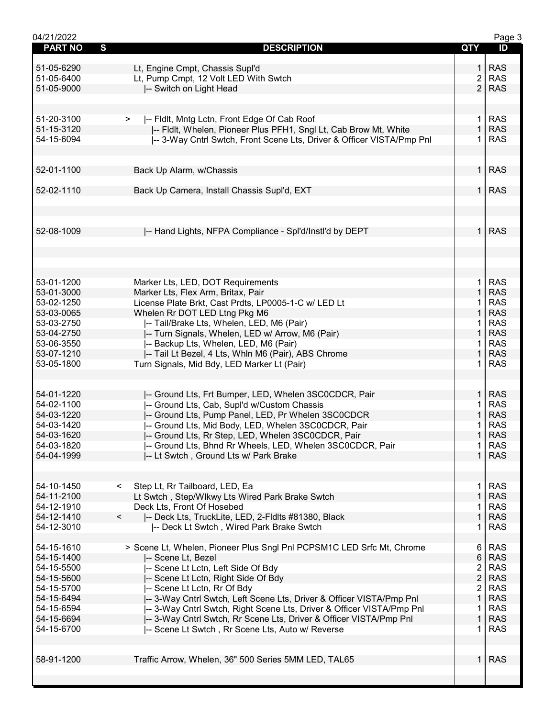| 04/21/2022     |                                                                       |                         | Page 3     |
|----------------|-----------------------------------------------------------------------|-------------------------|------------|
| <b>PART NO</b> | S<br><b>DESCRIPTION</b>                                               | QTY                     | ID         |
|                |                                                                       |                         |            |
| 51-05-6290     | Lt, Engine Cmpt, Chassis Supl'd                                       | 1.                      | <b>RAS</b> |
| 51-05-6400     | Lt, Pump Cmpt, 12 Volt LED With Swtch                                 | 2                       | <b>RAS</b> |
|                |                                                                       |                         |            |
| 51-05-9000     | -- Switch on Light Head                                               | $\overline{2}$          | <b>RAS</b> |
|                |                                                                       |                         |            |
|                |                                                                       |                         |            |
| 51-20-3100     | -- Fldlt, Mntg Lctn, Front Edge Of Cab Roof                           | $\mathbf{1}$            | <b>RAS</b> |
| 51-15-3120     | I-- Fldlt, Whelen, Pioneer Plus PFH1, Sngl Lt, Cab Brow Mt, White     | $\mathbf{1}$            | <b>RAS</b> |
|                |                                                                       |                         |            |
| 54-15-6094     | -- 3-Way Cntrl Swtch, Front Scene Lts, Driver & Officer VISTA/Pmp Pnl | 1                       | <b>RAS</b> |
|                |                                                                       |                         |            |
|                |                                                                       |                         |            |
| 52-01-1100     | Back Up Alarm, w/Chassis                                              | 1 <sup>1</sup>          | <b>RAS</b> |
|                |                                                                       |                         |            |
| 52-02-1110     | Back Up Camera, Install Chassis Supl'd, EXT                           | 1 <sup>1</sup>          | <b>RAS</b> |
|                |                                                                       |                         |            |
|                |                                                                       |                         |            |
|                |                                                                       |                         |            |
|                |                                                                       |                         |            |
| 52-08-1009     | -- Hand Lights, NFPA Compliance - Spl'd/Instl'd by DEPT               | 1 <sup>1</sup>          | <b>RAS</b> |
|                |                                                                       |                         |            |
|                |                                                                       |                         |            |
|                |                                                                       |                         |            |
|                |                                                                       |                         |            |
|                |                                                                       |                         |            |
| 53-01-1200     | Marker Lts, LED, DOT Requirements                                     | $\mathbf{1}$            | <b>RAS</b> |
| 53-01-3000     | Marker Lts, Flex Arm, Britax, Pair                                    | $\mathbf{1}$            | <b>RAS</b> |
|                |                                                                       |                         |            |
| 53-02-1250     | License Plate Brkt, Cast Prdts, LP0005-1-C w/ LED Lt                  | 1                       | <b>RAS</b> |
| 53-03-0065     | Whelen Rr DOT LED Ltng Pkg M6                                         | 1                       | <b>RAS</b> |
| 53-03-2750     | -- Tail/Brake Lts, Whelen, LED, M6 (Pair)                             | 1                       | <b>RAS</b> |
| 53-04-2750     | -- Turn Signals, Whelen, LED w/ Arrow, M6 (Pair)                      | $\mathbf{1}$            | <b>RAS</b> |
| 53-06-3550     | -- Backup Lts, Whelen, LED, M6 (Pair)                                 | 1.                      | <b>RAS</b> |
| 53-07-1210     |                                                                       | $\mathbf{1}$            | <b>RAS</b> |
|                | -- Tail Lt Bezel, 4 Lts, Whln M6 (Pair), ABS Chrome                   |                         |            |
| 53-05-1800     | Turn Signals, Mid Bdy, LED Marker Lt (Pair)                           | 1.                      | <b>RAS</b> |
|                |                                                                       |                         |            |
|                |                                                                       |                         |            |
| 54-01-1220     | -- Ground Lts, Frt Bumper, LED, Whelen 3SC0CDCR, Pair                 | $\mathbf{1}$            | <b>RAS</b> |
| 54-02-1100     | -- Ground Lts, Cab, Supl'd w/Custom Chassis                           | 1                       | <b>RAS</b> |
|                |                                                                       |                         |            |
| 54-03-1220     | -- Ground Lts, Pump Panel, LED, Pr Whelen 3SC0CDCR                    | $\mathbf{1}$            | <b>RAS</b> |
| 54-03-1420     | -- Ground Lts, Mid Body, LED, Whelen 3SC0CDCR, Pair                   |                         | <b>RAS</b> |
| 54-03-1620     | -- Ground Lts, Rr Step, LED, Whelen 3SC0CDCR, Pair                    | $\mathbf{1}$            | <b>RAS</b> |
| 54-03-1820     | -- Ground Lts, Bhnd Rr Wheels, LED, Whelen 3SC0CDCR, Pair             | $\mathbf{1}$            | <b>RAS</b> |
| 54-04-1999     | -- Lt Swtch, Ground Lts w/ Park Brake                                 | $\mathbf{1}$            | <b>RAS</b> |
|                |                                                                       |                         |            |
|                |                                                                       |                         |            |
|                |                                                                       |                         |            |
| 54-10-1450     | Step Lt, Rr Tailboard, LED, Ea<br>$\prec$                             | 1.                      | <b>RAS</b> |
| 54-11-2100     | Lt Swtch, Step/Wlkwy Lts Wired Park Brake Swtch                       | $\mathbf{1}$            | <b>RAS</b> |
| 54-12-1910     | Deck Lts, Front Of Hosebed                                            | 1                       | <b>RAS</b> |
| 54-12-1410     | $\prec$<br>-- Deck Lts, TruckLite, LED, 2-Fldlts #81380, Black        | $\mathbf{1}$            | <b>RAS</b> |
|                |                                                                       |                         |            |
| 54-12-3010     | -- Deck Lt Swtch, Wired Park Brake Swtch                              | 1                       | <b>RAS</b> |
|                |                                                                       |                         |            |
| 54-15-1610     | > Scene Lt, Whelen, Pioneer Plus Sngl Pnl PCPSM1C LED Srfc Mt, Chrome | 6                       | <b>RAS</b> |
| 54-15-1400     | -- Scene Lt, Bezel                                                    | 6                       | <b>RAS</b> |
| 54-15-5500     | -- Scene Lt Lctn, Left Side Of Bdy                                    | $\overline{\mathbf{c}}$ | <b>RAS</b> |
| 54-15-5600     |                                                                       | $\overline{2}$          | <b>RAS</b> |
|                | -- Scene Lt Lctn, Right Side Of Bdy                                   |                         |            |
| 54-15-5700     | -- Scene Lt Lctn, Rr Of Bdy                                           | $\overline{2}$          | <b>RAS</b> |
| 54-15-6494     | -- 3-Way Cntrl Swtch, Left Scene Lts, Driver & Officer VISTA/Pmp Pnl  | $\mathbf{1}$            | <b>RAS</b> |
| 54-15-6594     | -- 3-Way Cntrl Swtch, Right Scene Lts, Driver & Officer VISTA/Pmp Pnl | 1                       | <b>RAS</b> |
| 54-15-6694     | -- 3-Way Cntrl Swtch, Rr Scene Lts, Driver & Officer VISTA/Pmp Pnl    | 1                       | <b>RAS</b> |
| 54-15-6700     | -- Scene Lt Swtch, Rr Scene Lts, Auto w/ Reverse                      | 1                       | <b>RAS</b> |
|                |                                                                       |                         |            |
|                |                                                                       |                         |            |
|                |                                                                       |                         |            |
| 58-91-1200     | Traffic Arrow, Whelen, 36" 500 Series 5MM LED, TAL65                  | $\mathbf{1}$            | <b>RAS</b> |
|                |                                                                       |                         |            |
|                |                                                                       |                         |            |
|                |                                                                       |                         |            |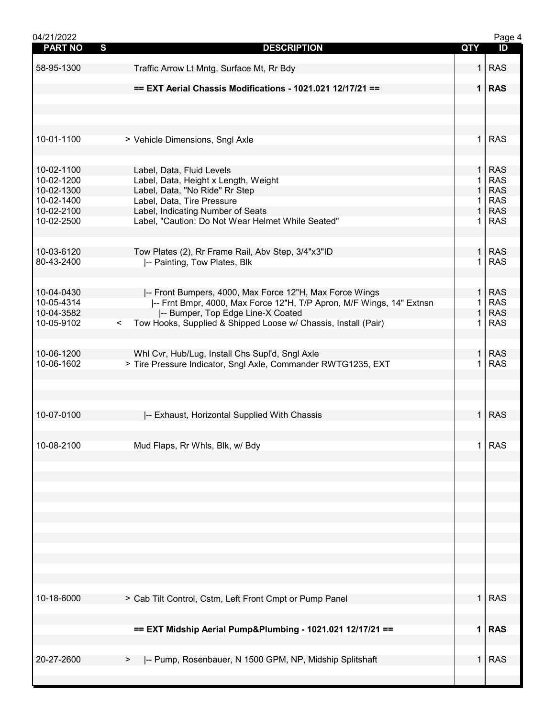| 04/21/2022     |                                                                           |                | Page 4     |
|----------------|---------------------------------------------------------------------------|----------------|------------|
| <b>PART NO</b> | S<br><b>DESCRIPTION</b>                                                   | QTY            | ID         |
|                |                                                                           |                |            |
| 58-95-1300     | Traffic Arrow Lt Mntg, Surface Mt, Rr Bdy                                 | 1              | <b>RAS</b> |
|                |                                                                           |                |            |
|                | == EXT Aerial Chassis Modifications - 1021.021 12/17/21 ==                |                | $1$ RAS    |
|                |                                                                           |                |            |
|                |                                                                           |                |            |
|                |                                                                           |                |            |
|                |                                                                           |                |            |
|                |                                                                           |                |            |
| 10-01-1100     | > Vehicle Dimensions, Sngl Axle                                           | 1              | <b>RAS</b> |
|                |                                                                           |                |            |
|                |                                                                           |                |            |
| 10-02-1100     | Label, Data, Fluid Levels                                                 | 1              | <b>RAS</b> |
| 10-02-1200     | Label, Data, Height x Length, Weight                                      | 1              | <b>RAS</b> |
| 10-02-1300     | Label, Data, "No Ride" Rr Step                                            | $\mathbf{1}$   | <b>RAS</b> |
|                |                                                                           |                |            |
| 10-02-1400     | Label, Data, Tire Pressure                                                | $\mathbf 1$    | <b>RAS</b> |
| 10-02-2100     | Label, Indicating Number of Seats                                         | $\mathbf{1}$   | <b>RAS</b> |
| 10-02-2500     | Label, "Caution: Do Not Wear Helmet While Seated"                         | 1.             | <b>RAS</b> |
|                |                                                                           |                |            |
|                |                                                                           |                |            |
| 10-03-6120     | Tow Plates (2), Rr Frame Rail, Abv Step, 3/4"x3"ID                        | $\mathbf{1}$   | <b>RAS</b> |
| 80-43-2400     | -- Painting, Tow Plates, Blk                                              | 1              | <b>RAS</b> |
|                |                                                                           |                |            |
|                |                                                                           |                |            |
| 10-04-0430     |                                                                           | $\mathbf{1}$   | <b>RAS</b> |
|                | -- Front Bumpers, 4000, Max Force 12"H, Max Force Wings                   |                |            |
| 10-05-4314     | -- Frnt Bmpr, 4000, Max Force 12"H, T/P Apron, M/F Wings, 14" Extnsn      | 1              | <b>RAS</b> |
| 10-04-3582     | -- Bumper, Top Edge Line-X Coated                                         | 1              | <b>RAS</b> |
| 10-05-9102     | Tow Hooks, Supplied & Shipped Loose w/ Chassis, Install (Pair)<br>$\prec$ | 1              | <b>RAS</b> |
|                |                                                                           |                |            |
|                |                                                                           |                |            |
| 10-06-1200     | Whl Cvr, Hub/Lug, Install Chs Supl'd, Sngl Axle                           | $\mathbf{1}$   | <b>RAS</b> |
| 10-06-1602     | > Tire Pressure Indicator, Sngl Axle, Commander RWTG1235, EXT             | 1              | <b>RAS</b> |
|                |                                                                           |                |            |
|                |                                                                           |                |            |
|                |                                                                           |                |            |
|                |                                                                           |                |            |
|                |                                                                           |                |            |
| 10-07-0100     | -- Exhaust, Horizontal Supplied With Chassis                              | $\mathbf{1}$   | <b>RAS</b> |
|                |                                                                           |                |            |
|                |                                                                           |                |            |
| 10-08-2100     | Mud Flaps, Rr Whls, Blk, w/ Bdy                                           | 1              | <b>RAS</b> |
|                |                                                                           |                |            |
|                |                                                                           |                |            |
|                |                                                                           |                |            |
|                |                                                                           |                |            |
|                |                                                                           |                |            |
|                |                                                                           |                |            |
|                |                                                                           |                |            |
|                |                                                                           |                |            |
|                |                                                                           |                |            |
|                |                                                                           |                |            |
|                |                                                                           |                |            |
|                |                                                                           |                |            |
|                |                                                                           |                |            |
|                |                                                                           |                |            |
|                |                                                                           |                |            |
|                |                                                                           |                |            |
| 10-18-6000     | > Cab Tilt Control, Cstm, Left Front Cmpt or Pump Panel                   | 1 <sup>1</sup> | <b>RAS</b> |
|                |                                                                           |                |            |
|                |                                                                           |                |            |
|                | == EXT Midship Aerial Pump&Plumbing - 1021.021 12/17/21 ==                |                | $1$ RAS    |
|                |                                                                           |                |            |
|                |                                                                           |                |            |
| 20-27-2600     | -- Pump, Rosenbauer, N 1500 GPM, NP, Midship Splitshaft<br>>              | 1              | <b>RAS</b> |
|                |                                                                           |                |            |
|                |                                                                           |                |            |
|                |                                                                           |                |            |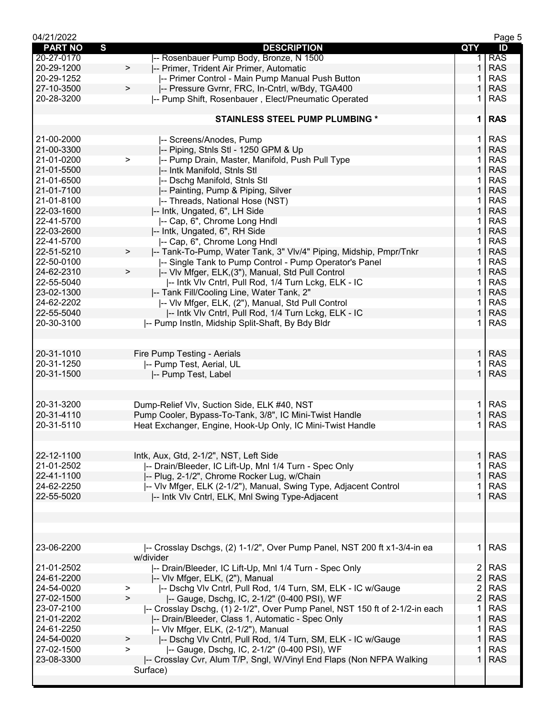| 04/21/2022               |                                                                              |                                           | Page 5                   |
|--------------------------|------------------------------------------------------------------------------|-------------------------------------------|--------------------------|
| <b>PART NO</b>           | S<br><b>DESCRIPTION</b>                                                      | QTY                                       | ID                       |
| 20-27-0170               | -- Rosenbauer Pump Body, Bronze, N 1500                                      | 1.                                        | <b>RAS</b>               |
| 20-29-1200               | -- Primer, Trident Air Primer, Automatic<br>$\geq$                           | 1                                         | <b>RAS</b>               |
| 20-29-1252               | -- Primer Control - Main Pump Manual Push Button                             |                                           | <b>RAS</b>               |
| 27-10-3500               | I-- Pressure Gvrnr, FRC, In-Cntrl, w/Bdy, TGA400<br>>                        | 1                                         | <b>RAS</b>               |
| 20-28-3200               | -- Pump Shift, Rosenbauer, Elect/Pneumatic Operated                          | 1                                         | <b>RAS</b>               |
|                          |                                                                              |                                           |                          |
|                          | <b>STAINLESS STEEL PUMP PLUMBING *</b>                                       | 1                                         | <b>RAS</b>               |
|                          |                                                                              |                                           |                          |
| 21-00-2000               | -- Screens/Anodes, Pump                                                      | 1.                                        | <b>RAS</b>               |
| 21-00-3300               | -- Piping, Stnls Stl - 1250 GPM & Up                                         | $\mathbf{1}$                              | <b>RAS</b>               |
| 21-01-0200               | -- Pump Drain, Master, Manifold, Push Pull Type<br>$\geq$                    | 1                                         | <b>RAS</b>               |
| 21-01-5500               | -- Intk Manifold, Stnls Stl                                                  | 1                                         | <b>RAS</b>               |
| 21-01-6500               | -- Dschg Manifold, Stnls Stl                                                 | 1                                         | <b>RAS</b>               |
| 21-01-7100               | -- Painting, Pump & Piping, Silver                                           | $\mathbf{1}$                              | <b>RAS</b>               |
| 21-01-8100               | -- Threads, National Hose (NST)                                              | 1.                                        | <b>RAS</b>               |
| 22-03-1600               | -- Intk, Ungated, 6", LH Side                                                | $\mathbf{1}$                              | <b>RAS</b>               |
| 22-41-5700               | I-- Cap, 6", Chrome Long Hndl                                                | 1                                         | <b>RAS</b>               |
| 22-03-2600               | -- Intk, Ungated, 6", RH Side                                                | $\mathbf{1}$                              | <b>RAS</b>               |
| 22-41-5700               | -- Cap, 6", Chrome Long Hndl                                                 | 1                                         | <b>RAS</b>               |
| 22-51-5210               | -- Tank-To-Pump, Water Tank, 3" VIv/4" Piping, Midship, Pmpr/Tnkr<br>$\,>\,$ | 1                                         | <b>RAS</b>               |
| 22-50-0100               | -- Single Tank to Pump Control - Pump Operator's Panel                       | 1                                         | <b>RAS</b>               |
| 24-62-2310               | I-- VIv Mfger, ELK, (3"), Manual, Std Pull Control<br>$\, > \,$              | 1                                         | <b>RAS</b>               |
| 22-55-5040               | I-- Intk VIv Cntrl, Pull Rod, 1/4 Turn Lckg, ELK - IC                        | 1.                                        | <b>RAS</b>               |
| 23-02-1300               | I-- Tank Fill/Cooling Line, Water Tank, 2"                                   | $\mathbf{1}$                              | <b>RAS</b>               |
| 24-62-2202               | I-- VIv Mfger, ELK, (2"), Manual, Std Pull Control                           | 1                                         | <b>RAS</b>               |
| 22-55-5040               | -- Intk VIv Cntrl, Pull Rod, 1/4 Turn Lckg, ELK - IC                         | 1                                         | <b>RAS</b>               |
| 20-30-3100               | -- Pump Instin, Midship Split-Shaft, By Bdy Bldr                             | 1.                                        | <b>RAS</b>               |
|                          |                                                                              |                                           |                          |
|                          |                                                                              |                                           |                          |
| 20-31-1010               | Fire Pump Testing - Aerials                                                  | $\mathbf{1}$                              | <b>RAS</b>               |
| 20-31-1250               | -- Pump Test, Aerial, UL                                                     | 1.                                        | <b>RAS</b>               |
| 20-31-1500               | -- Pump Test, Label                                                          | $\mathbf{1}$                              | <b>RAS</b>               |
|                          |                                                                              |                                           |                          |
|                          |                                                                              |                                           |                          |
| 20-31-3200               | Dump-Relief Vlv, Suction Side, ELK #40, NST                                  | 1.                                        | <b>RAS</b>               |
| 20-31-4110               | Pump Cooler, Bypass-To-Tank, 3/8", IC Mini-Twist Handle                      | 1                                         | <b>RAS</b>               |
| 20-31-5110               | Heat Exchanger, Engine, Hook-Up Only, IC Mini-Twist Handle                   | 1                                         | <b>RAS</b>               |
|                          |                                                                              |                                           |                          |
|                          |                                                                              |                                           |                          |
| 22-12-1100               | Intk, Aux, Gtd, 2-1/2", NST, Left Side                                       | $\mathbf{1}$                              | <b>RAS</b>               |
| 21-01-2502               | -- Drain/Bleeder, IC Lift-Up, Mnl 1/4 Turn - Spec Only                       | 1                                         | <b>RAS</b>               |
| 22-41-1100               | -- Plug, 2-1/2", Chrome Rocker Lug, w/Chain                                  | 1                                         | <b>RAS</b>               |
| 24-62-2250               | -- Vlv Mfger, ELK (2-1/2"), Manual, Swing Type, Adjacent Control             |                                           | <b>RAS</b>               |
| 22-55-5020               | I-- Intk VIv Cntrl, ELK, MnI Swing Type-Adjacent                             | 1.                                        | <b>RAS</b>               |
|                          |                                                                              |                                           |                          |
|                          |                                                                              |                                           |                          |
|                          |                                                                              |                                           |                          |
|                          |                                                                              |                                           |                          |
| 23-06-2200               | -- Crosslay Dschgs, (2) 1-1/2", Over Pump Panel, NST 200 ft x1-3/4-in ea     | 1.                                        | <b>RAS</b>               |
| 21-01-2502               | w/divider                                                                    |                                           | <b>RAS</b>               |
| 24-61-2200               | -- Drain/Bleeder, IC Lift-Up, Mnl 1/4 Turn - Spec Only                       | $\overline{2}$<br>$\overline{2}$          | <b>RAS</b>               |
| 24-54-0020               | -- Vlv Mfger, ELK, (2"), Manual                                              |                                           |                          |
| 27-02-1500               | I-- Dschg VIv Cntrl, Pull Rod, 1/4 Turn, SM, ELK - IC w/Gauge<br>><br>$\geq$ | $\overline{\mathbf{c}}$<br>$\overline{2}$ | <b>RAS</b><br><b>RAS</b> |
| 23-07-2100               | -- Gauge, Dschg, IC, 2-1/2" (0-400 PSI), WF                                  | $\mathbf 1$                               | <b>RAS</b>               |
| 21-01-2202               | -- Crosslay Dschg, (1) 2-1/2", Over Pump Panel, NST 150 ft of 2-1/2-in each  | 1                                         | <b>RAS</b>               |
| 24-61-2250               | -- Drain/Bleeder, Class 1, Automatic - Spec Only                             |                                           | <b>RAS</b>               |
| 24-54-0020               | -- Vlv Mfger, ELK, (2-1/2"), Manual                                          | 1.<br>$\mathbf{1}$                        | <b>RAS</b>               |
|                          | -- Dschg VIv Cntrl, Pull Rod, 1/4 Turn, SM, ELK - IC w/Gauge<br>>            |                                           |                          |
| 27-02-1500<br>23-08-3300 | -- Gauge, Dschg, IC, 2-1/2" (0-400 PSI), WF<br>$\geq$                        | $\mathbf{1}$                              | <b>RAS</b><br><b>RAS</b> |
|                          | -- Crosslay Cvr, Alum T/P, Sngl, W/Vinyl End Flaps (Non NFPA Walking         |                                           |                          |
|                          | Surface)                                                                     |                                           |                          |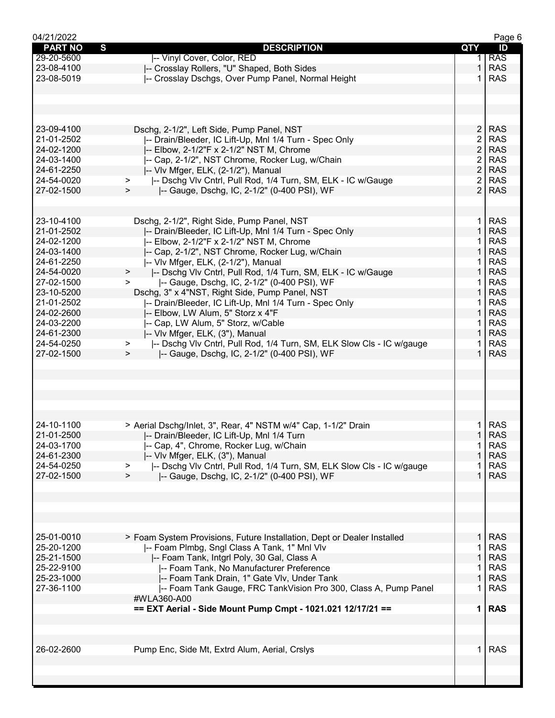| 04/21/2022          |                                                                            |                | Page 6     |
|---------------------|----------------------------------------------------------------------------|----------------|------------|
| <b>PART NO</b><br>S | <b>DESCRIPTION</b>                                                         | <b>QTY</b>     | ID         |
| 29-20-5600          | -- Vinyl Cover, Color, RED                                                 |                | <b>RAS</b> |
| 23-08-4100          | -- Crosslay Rollers, "U" Shaped, Both Sides                                | 1              | <b>RAS</b> |
| 23-08-5019          | -- Crosslay Dschgs, Over Pump Panel, Normal Height                         | 1              | <b>RAS</b> |
|                     |                                                                            |                |            |
|                     |                                                                            |                |            |
|                     |                                                                            |                |            |
|                     |                                                                            |                |            |
|                     |                                                                            |                |            |
| 23-09-4100          | Dschg, 2-1/2", Left Side, Pump Panel, NST                                  | 2 <sup>1</sup> | <b>RAS</b> |
| 21-01-2502          | -- Drain/Bleeder, IC Lift-Up, Mnl 1/4 Turn - Spec Only                     | $\overline{2}$ | <b>RAS</b> |
| 24-02-1200          | -- Elbow, 2-1/2"F x 2-1/2" NST M, Chrome                                   | $\overline{2}$ | <b>RAS</b> |
| 24-03-1400          | -- Cap, 2-1/2", NST Chrome, Rocker Lug, w/Chain                            | $\overline{2}$ | <b>RAS</b> |
| 24-61-2250          | -- VIv Mfger, ELK, (2-1/2"), Manual                                        | $\overline{2}$ | <b>RAS</b> |
| 24-54-0020          | -- Dschg Vlv Cntrl, Pull Rod, 1/4 Turn, SM, ELK - IC w/Gauge<br>$\geq$     | $\overline{2}$ | <b>RAS</b> |
| 27-02-1500          | -- Gauge, Dschg, IC, 2-1/2" (0-400 PSI), WF<br>$\geq$                      | $\overline{2}$ | <b>RAS</b> |
|                     |                                                                            |                |            |
|                     |                                                                            |                |            |
| 23-10-4100          | Dschg, 2-1/2", Right Side, Pump Panel, NST                                 | $\mathbf 1$    | <b>RAS</b> |
| 21-01-2502          |                                                                            | $\mathbf 1$    | <b>RAS</b> |
|                     | -- Drain/Bleeder, IC Lift-Up, Mnl 1/4 Turn - Spec Only                     |                |            |
| 24-02-1200          | -- Elbow, 2-1/2"F x 2-1/2" NST M, Chrome                                   | 1              | <b>RAS</b> |
| 24-03-1400          | -- Cap, 2-1/2", NST Chrome, Rocker Lug, w/Chain                            | $\mathbf 1$    | <b>RAS</b> |
| 24-61-2250          | -- VIv Mfger, ELK, (2-1/2"), Manual                                        | 1.             | <b>RAS</b> |
| 24-54-0020          | -- Dschg VIv Cntrl, Pull Rod, 1/4 Turn, SM, ELK - IC w/Gauge<br>$\geq$     | $\mathbf{1}$   | <b>RAS</b> |
| 27-02-1500          | -- Gauge, Dschg, IC, 2-1/2" (0-400 PSI), WF<br>$\, >$                      | 1.             | <b>RAS</b> |
| 23-10-5200          | Dschg, 3" x 4"NST, Right Side, Pump Panel, NST                             | $\mathbf{1}$   | <b>RAS</b> |
| 21-01-2502          | -- Drain/Bleeder, IC Lift-Up, Mnl 1/4 Turn - Spec Only                     | 1.             | <b>RAS</b> |
| 24-02-2600          | -- Elbow, LW Alum, 5" Storz x 4"F                                          | $\mathbf 1$    | <b>RAS</b> |
| 24-03-2200          | -- Cap, LW Alum, 5" Storz, w/Cable                                         | 1              | <b>RAS</b> |
| 24-61-2300          | -- Vlv Mfger, ELK, (3"), Manual                                            | $\mathbf{1}$   | <b>RAS</b> |
| 24-54-0250          | -- Dschg VIv Cntrl, Pull Rod, 1/4 Turn, SM, ELK Slow Cls - IC w/gauge<br>> | 1.             | <b>RAS</b> |
| 27-02-1500          | -- Gauge, Dschg, IC, 2-1/2" (0-400 PSI), WF<br>$\geq$                      | $\mathbf 1$    | <b>RAS</b> |
|                     |                                                                            |                |            |
|                     |                                                                            |                |            |
| 24-10-1100          | > Aerial Dschg/Inlet, 3", Rear, 4" NSTM w/4" Cap, 1-1/2" Drain             | 1.             | <b>RAS</b> |
| 21-01-2500          | -- Drain/Bleeder, IC Lift-Up, Mnl 1/4 Turn                                 | 1              | <b>RAS</b> |
| 24-03-1700          | -- Cap, 4", Chrome, Rocker Lug, w/Chain                                    | 1.             | <b>RAS</b> |
| 24-61-2300          | -- VIv Mfger, ELK, (3"), Manual                                            | 1              | <b>RAS</b> |
| 24-54-0250          | -- Dschg VIv Cntrl, Pull Rod, 1/4 Turn, SM, ELK Slow Cls - IC w/gauge<br>> |                | <b>RAS</b> |
| 27-02-1500          | -- Gauge, Dschg, IC, 2-1/2" (0-400 PSI), WF<br>$\geq$                      | 1              | <b>RAS</b> |
|                     |                                                                            |                |            |
|                     |                                                                            |                |            |
|                     |                                                                            |                |            |
|                     |                                                                            |                |            |
|                     |                                                                            |                |            |
| 25-01-0010          | > Foam System Provisions, Future Installation, Dept or Dealer Installed    | 1 <sup>1</sup> | <b>RAS</b> |
| 25-20-1200          | -- Foam Plmbg, Sngl Class A Tank, 1" Mnl Vlv                               | 1              | <b>RAS</b> |
| 25-21-1500          | -- Foam Tank, Intgrl Poly, 30 Gal, Class A                                 | 1              | <b>RAS</b> |
| 25-22-9100          | -- Foam Tank, No Manufacturer Preference                                   | 1              | <b>RAS</b> |
| 25-23-1000          | -- Foam Tank Drain, 1" Gate VIv, Under Tank                                | $\mathbf{1}$   | <b>RAS</b> |
| 27-36-1100          |                                                                            |                | <b>RAS</b> |
|                     | -- Foam Tank Gauge, FRC TankVision Pro 300, Class A, Pump Panel            | 1              |            |
|                     | #WLA360-A00                                                                |                |            |
|                     | == EXT Aerial - Side Mount Pump Cmpt - 1021.021 12/17/21 ==                |                | 1 RAS      |
|                     |                                                                            |                |            |
|                     |                                                                            |                |            |
|                     |                                                                            |                |            |
| 26-02-2600          | Pump Enc, Side Mt, Extrd Alum, Aerial, Crslys                              | $\mathbf 1$    | <b>RAS</b> |
|                     |                                                                            |                |            |
|                     |                                                                            |                |            |
|                     |                                                                            |                |            |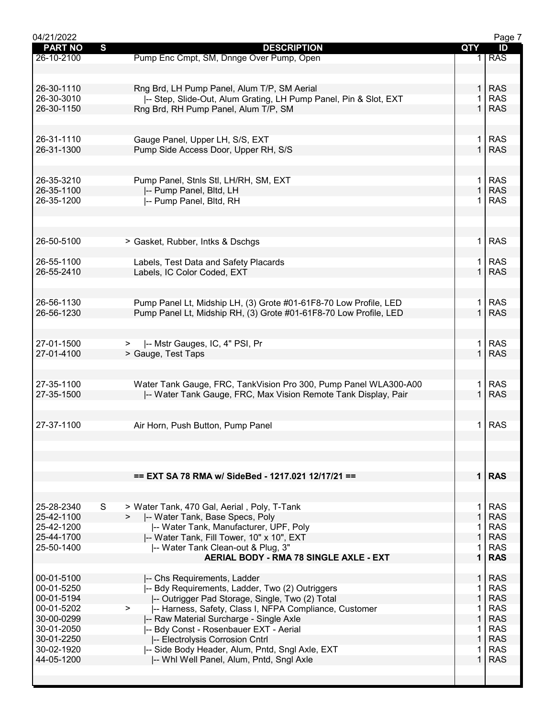| 04/21/2022     |                                                                   |              | Page 7     |
|----------------|-------------------------------------------------------------------|--------------|------------|
| <b>PART NO</b> | $\mathbf{s}$<br><b>DESCRIPTION</b>                                | QTY          | ID         |
| 26-10-2100     | Pump Enc Cmpt, SM, Dnnge Over Pump, Open                          |              | <b>RAS</b> |
|                |                                                                   |              |            |
|                |                                                                   |              |            |
|                |                                                                   |              |            |
| 26-30-1110     | Rng Brd, LH Pump Panel, Alum T/P, SM Aerial                       | 1.           | <b>RAS</b> |
| 26-30-3010     | -- Step, Slide-Out, Alum Grating, LH Pump Panel, Pin & Slot, EXT  |              | <b>RAS</b> |
| 26-30-1150     | Rng Brd, RH Pump Panel, Alum T/P, SM                              |              | <b>RAS</b> |
|                |                                                                   |              |            |
|                |                                                                   |              |            |
| 26-31-1110     | Gauge Panel, Upper LH, S/S, EXT                                   | 1.           | <b>RAS</b> |
| 26-31-1300     | Pump Side Access Door, Upper RH, S/S                              | $\mathbf{1}$ | <b>RAS</b> |
|                |                                                                   |              |            |
|                |                                                                   |              |            |
|                |                                                                   |              |            |
| 26-35-3210     | Pump Panel, Stnls Stl, LH/RH, SM, EXT                             | 1.           | <b>RAS</b> |
| 26-35-1100     | -- Pump Panel, Bltd, LH                                           | $\mathbf{1}$ | <b>RAS</b> |
| 26-35-1200     | -- Pump Panel, Bltd, RH                                           |              | <b>RAS</b> |
|                |                                                                   |              |            |
|                |                                                                   |              |            |
|                |                                                                   |              |            |
|                |                                                                   |              |            |
| 26-50-5100     | > Gasket, Rubber, Intks & Dschgs                                  | 1.           | <b>RAS</b> |
|                |                                                                   |              |            |
| 26-55-1100     | Labels, Test Data and Safety Placards                             |              | <b>RAS</b> |
| 26-55-2410     | Labels, IC Color Coded, EXT                                       |              | <b>RAS</b> |
|                |                                                                   |              |            |
|                |                                                                   |              |            |
|                |                                                                   |              |            |
| 26-56-1130     | Pump Panel Lt, Midship LH, (3) Grote #01-61F8-70 Low Profile, LED | 1.           | <b>RAS</b> |
| 26-56-1230     | Pump Panel Lt, Midship RH, (3) Grote #01-61F8-70 Low Profile, LED | $\mathbf{1}$ | <b>RAS</b> |
|                |                                                                   |              |            |
|                |                                                                   |              |            |
| 27-01-1500     | -- Mstr Gauges, IC, 4" PSI, Pr<br>$\geq$                          | 1.           | <b>RAS</b> |
| 27-01-4100     | > Gauge, Test Taps                                                |              | <b>RAS</b> |
|                |                                                                   |              |            |
|                |                                                                   |              |            |
|                |                                                                   |              |            |
| 27-35-1100     | Water Tank Gauge, FRC, TankVision Pro 300, Pump Panel WLA300-A00  | 1.           | <b>RAS</b> |
| 27-35-1500     | -- Water Tank Gauge, FRC, Max Vision Remote Tank Display, Pair    | $\mathbf{1}$ | <b>RAS</b> |
|                |                                                                   |              |            |
|                |                                                                   |              |            |
| 27-37-1100     | Air Horn, Push Button, Pump Panel                                 | 1.           | <b>RAS</b> |
|                |                                                                   |              |            |
|                |                                                                   |              |            |
|                |                                                                   |              |            |
|                |                                                                   |              |            |
|                |                                                                   |              |            |
|                | == EXT SA 78 RMA w/ SideBed - 1217.021 12/17/21 ==                |              | $1$ RAS    |
|                |                                                                   |              |            |
|                |                                                                   |              |            |
| 25-28-2340     | S<br>> Water Tank, 470 Gal, Aerial, Poly, T-Tank                  | 1.           | <b>RAS</b> |
| 25-42-1100     | I-- Water Tank, Base Specs, Poly                                  | $\mathbf{1}$ | <b>RAS</b> |
| 25-42-1200     | -- Water Tank, Manufacturer, UPF, Poly                            | 1.           | <b>RAS</b> |
| 25-44-1700     |                                                                   | $\mathbf{1}$ | <b>RAS</b> |
|                | -- Water Tank, Fill Tower, 10" x 10", EXT                         |              |            |
| 25-50-1400     | -- Water Tank Clean-out & Plug, 3"                                | 1.           | <b>RAS</b> |
|                | <b>AERIAL BODY - RMA 78 SINGLE AXLE - EXT</b>                     | $\mathbf{1}$ | <b>RAS</b> |
|                |                                                                   |              |            |
| 00-01-5100     | -- Chs Requirements, Ladder                                       | 1            | <b>RAS</b> |
| 00-01-5250     | -- Bdy Requirements, Ladder, Two (2) Outriggers                   |              | <b>RAS</b> |
| 00-01-5194     | I-- Outrigger Pad Storage, Single, Two (2) Total                  | $\mathbf{1}$ | <b>RAS</b> |
| 00-01-5202     | -- Harness, Safety, Class I, NFPA Compliance, Customer            | 1.           | <b>RAS</b> |
|                |                                                                   |              |            |
| 30-00-0299     | -- Raw Material Surcharge - Single Axle                           | $\mathbf{1}$ | <b>RAS</b> |
| 30-01-2050     | -- Bdy Const - Rosenbauer EXT - Aerial                            | 1            | <b>RAS</b> |
| 30-01-2250     | -- Electrolysis Corrosion Cntrl                                   | $\mathbf{1}$ | <b>RAS</b> |
| 30-02-1920     | -- Side Body Header, Alum, Pntd, Sngl Axle, EXT                   |              | <b>RAS</b> |
| 44-05-1200     | -- Whi Well Panel, Alum, Pntd, Sngl Axle                          | $\mathbf{1}$ | <b>RAS</b> |
|                |                                                                   |              |            |
|                |                                                                   |              |            |
|                |                                                                   |              |            |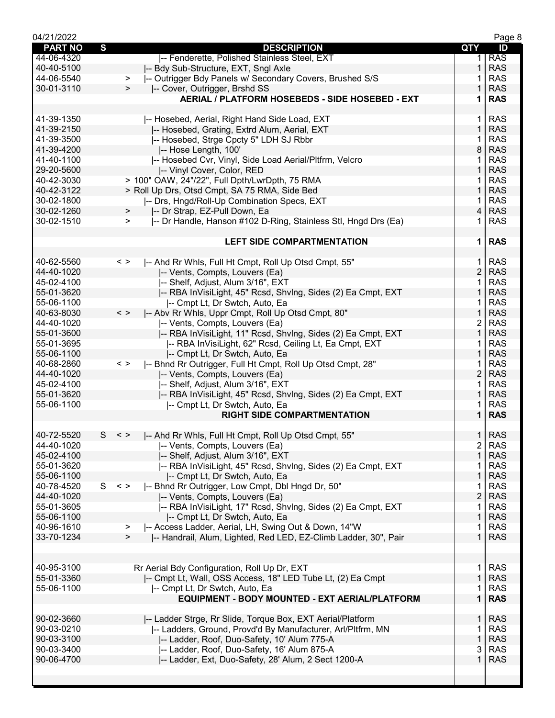| 04/21/2022     |                                                                            |                | Page 8     |
|----------------|----------------------------------------------------------------------------|----------------|------------|
| <b>PART NO</b> | S<br><b>DESCRIPTION</b>                                                    | QTY            | ID         |
| 44-06-4320     | -- Fenderette, Polished Stainless Steel, EXT                               | 1.             | <b>RAS</b> |
| 40-40-5100     | -- Bdy Sub-Structure, EXT, Sngl Axle                                       | 1              | <b>RAS</b> |
| 44-06-5540     | -- Outrigger Bdy Panels w/ Secondary Covers, Brushed S/S<br>$\geq$         |                | <b>RAS</b> |
| 30-01-3110     | -- Cover, Outrigger, Brshd SS<br>$\geq$                                    | 1              | <b>RAS</b> |
|                | AERIAL / PLATFORM HOSEBEDS - SIDE HOSEBED - EXT                            | 1              | <b>RAS</b> |
|                |                                                                            |                |            |
| 41-39-1350     | -- Hosebed, Aerial, Right Hand Side Load, EXT                              | 1              | <b>RAS</b> |
| 41-39-2150     | -- Hosebed, Grating, Extrd Alum, Aerial, EXT                               | $\mathbf{1}$   | <b>RAS</b> |
| 41-39-3500     | -- Hosebed, Strge Cpcty 5" LDH SJ Rbbr                                     | 1              | <b>RAS</b> |
| 41-39-4200     | -- Hose Length, 100'                                                       | 8              | <b>RAS</b> |
| 41-40-1100     | -- Hosebed Cvr, Vinyl, Side Load Aerial/Pltfrm, Velcro                     |                | <b>RAS</b> |
| 29-20-5600     | -- Vinyl Cover, Color, RED                                                 | 1              | <b>RAS</b> |
| 40-42-3030     | > 100" OAW, 24"/22", Full Dpth/LwrDpth, 75 RMA                             | 1              | <b>RAS</b> |
| 40-42-3122     | > Roll Up Drs, Otsd Cmpt, SA 75 RMA, Side Bed                              | $\mathbf{1}$   | <b>RAS</b> |
| 30-02-1800     | -- Drs, Hngd/Roll-Up Combination Specs, EXT                                | 1              | <b>RAS</b> |
| 30-02-1260     | -- Dr Strap, EZ-Pull Down, Ea<br>$\geq$                                    | $\overline{4}$ | <b>RAS</b> |
| 30-02-1510     | I-- Dr Handle, Hanson #102 D-Ring, Stainless Stl, Hngd Drs (Ea)<br>$\geq$  | 1.             | <b>RAS</b> |
|                |                                                                            |                |            |
|                |                                                                            |                |            |
|                | <b>LEFT SIDE COMPARTMENTATION</b>                                          | $\mathbf 1$    | <b>RAS</b> |
|                |                                                                            |                |            |
| 40-62-5560     | I-- Ahd Rr Whls, Full Ht Cmpt, Roll Up Otsd Cmpt, 55"<br>$\langle$ >       | 1.             | <b>RAS</b> |
| 44-40-1020     | -- Vents, Compts, Louvers (Ea)                                             | $\overline{2}$ | <b>RAS</b> |
| 45-02-4100     | -- Shelf, Adjust, Alum 3/16", EXT                                          | $\mathbf{1}$   | <b>RAS</b> |
| 55-01-3620     | -- RBA InVisiLight, 45" Rcsd, ShvIng, Sides (2) Ea Cmpt, EXT               | $\mathbf{1}$   | <b>RAS</b> |
| 55-06-1100     | -- Cmpt Lt, Dr Swtch, Auto, Ea                                             | 1              | <b>RAS</b> |
| 40-63-8030     | $\,<\,>$<br>-- Abv Rr Whls, Uppr Cmpt, Roll Up Otsd Cmpt, 80"              | $\mathbf{1}$   | <b>RAS</b> |
| 44-40-1020     | -- Vents, Compts, Louvers (Ea)                                             | 2              | <b>RAS</b> |
| 55-01-3600     | -- RBA InVisiLight, 11" Rcsd, ShvIng, Sides (2) Ea Cmpt, EXT               | $\mathbf 1$    | <b>RAS</b> |
| 55-01-3695     | -- RBA InVisiLight, 62" Rcsd, Ceiling Lt, Ea Cmpt, EXT                     | 1              | <b>RAS</b> |
| 55-06-1100     | I-- Cmpt Lt, Dr Swtch, Auto, Ea                                            | $\mathbf{1}$   | <b>RAS</b> |
| 40-68-2860     | -- Bhnd Rr Outrigger, Full Ht Cmpt, Roll Up Otsd Cmpt, 28"<br>$\langle$ >  | 1.             | <b>RAS</b> |
| 44-40-1020     | -- Vents, Compts, Louvers (Ea)                                             | $\overline{2}$ | <b>RAS</b> |
| 45-02-4100     | -- Shelf, Adjust, Alum 3/16", EXT                                          | 1              | <b>RAS</b> |
| 55-01-3620     | -- RBA InVisiLight, 45" Rcsd, ShvIng, Sides (2) Ea Cmpt, EXT               | 1              | <b>RAS</b> |
| 55-06-1100     | -- Cmpt Lt, Dr Swtch, Auto, Ea                                             |                | <b>RAS</b> |
|                | <b>RIGHT SIDE COMPARTMENTATION</b>                                         | $\mathbf 1$    | <b>RAS</b> |
|                |                                                                            |                |            |
| 40-72-5520     | S.<br>-- Ahd Rr Whls, Full Ht Cmpt, Roll Up Otsd Cmpt, 55"<br>$\langle$ >  |                | $1$ RAS    |
| 44-40-1020     |                                                                            | $\overline{2}$ | <b>RAS</b> |
| 45-02-4100     | -- Vents, Compts, Louvers (Ea)                                             | $\mathbf{1}$   | <b>RAS</b> |
|                | -- Shelf, Adjust, Alum 3/16", EXT                                          |                |            |
| 55-01-3620     | -- RBA InVisiLight, 45" Rcsd, ShvIng, Sides (2) Ea Cmpt, EXT               | 1              | <b>RAS</b> |
| 55-06-1100     | -- Cmpt Lt, Dr Swtch, Auto, Ea                                             | 1              | <b>RAS</b> |
| 40-78-4520     | S <<br>-- Bhnd Rr Outrigger, Low Cmpt, Dbl Hngd Dr, 50"                    | 1              | <b>RAS</b> |
| 44-40-1020     | -- Vents, Compts, Louvers (Ea)                                             | $\overline{c}$ | <b>RAS</b> |
| 55-01-3605     | -- RBA InVisiLight, 17" Rcsd, ShvIng, Sides (2) Ea Cmpt, EXT               | 1              | <b>RAS</b> |
| 55-06-1100     | I-- Cmpt Lt, Dr Swtch, Auto, Ea                                            | 1              | <b>RAS</b> |
| 40-96-1610     | -- Access Ladder, Aerial, LH, Swing Out & Down, 14"W<br>>                  | 1              | <b>RAS</b> |
| 33-70-1234     | I-- Handrail, Alum, Lighted, Red LED, EZ-Climb Ladder, 30", Pair<br>$\geq$ | $\mathbf{1}$   | <b>RAS</b> |
|                |                                                                            |                |            |
|                |                                                                            |                |            |
| 40-95-3100     | Rr Aerial Bdy Configuration, Roll Up Dr, EXT                               | 1.             | <b>RAS</b> |
| 55-01-3360     | -- Cmpt Lt, Wall, OSS Access, 18" LED Tube Lt, (2) Ea Cmpt                 | $\mathbf{1}$   | <b>RAS</b> |
| 55-06-1100     | -- Cmpt Lt, Dr Swtch, Auto, Ea                                             | 1              | <b>RAS</b> |
|                | <b>EQUIPMENT - BODY MOUNTED - EXT AERIAL/PLATFORM</b>                      | $\mathbf 1$    | <b>RAS</b> |
|                |                                                                            |                |            |
| 90-02-3660     | -- Ladder Strge, Rr Slide, Torque Box, EXT Aerial/Platform                 | $\mathbf{1}$   | <b>RAS</b> |
| 90-03-0210     | -- Ladders, Ground, Provd'd By Manufacturer, Arl/Pltfrm, MN                | 1              | <b>RAS</b> |
| 90-03-3100     | -- Ladder, Roof, Duo-Safety, 10' Alum 775-A                                | 1              | <b>RAS</b> |
| 90-03-3400     | -- Ladder, Roof, Duo-Safety, 16' Alum 875-A                                | 3              | <b>RAS</b> |
| 90-06-4700     | -- Ladder, Ext, Duo-Safety, 28' Alum, 2 Sect 1200-A                        | 1              | <b>RAS</b> |
|                |                                                                            |                |            |
|                |                                                                            |                |            |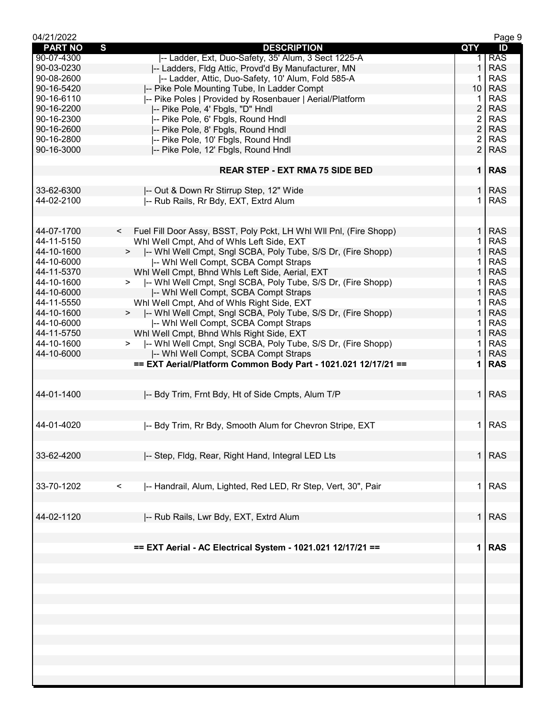| 04/21/2022     |                                                                             |                | Page 9     |
|----------------|-----------------------------------------------------------------------------|----------------|------------|
| <b>PART NO</b> | $\mathbf{s}$<br><b>DESCRIPTION</b>                                          | QTY            | ID         |
| 90-07-4300     | -- Ladder, Ext, Duo-Safety, 35' Alum, 3 Sect 1225-A                         |                | <b>RAS</b> |
| 90-03-0230     | I-- Ladders, Fldg Attic, Provd'd By Manufacturer, MN                        | $\mathbf 1$    | <b>RAS</b> |
| 90-08-2600     | -- Ladder, Attic, Duo-Safety, 10' Alum, Fold 585-A                          |                | <b>RAS</b> |
| 90-16-5420     | -- Pike Pole Mounting Tube, In Ladder Compt                                 | 10             | <b>RAS</b> |
| 90-16-6110     | -- Pike Poles   Provided by Rosenbauer   Aerial/Platform                    | 1              | <b>RAS</b> |
| 90-16-2200     | -- Pike Pole, 4' Fbgls, "D" Hndl                                            | $\overline{c}$ | <b>RAS</b> |
| 90-16-2300     | -- Pike Pole, 6' Fbgls, Round Hndl                                          | $\overline{2}$ | <b>RAS</b> |
| 90-16-2600     | -- Pike Pole, 8' Fbgls, Round Hndl                                          | $\overline{2}$ | <b>RAS</b> |
|                |                                                                             |                |            |
| 90-16-2800     | -- Pike Pole, 10' Fbgls, Round Hndl                                         | $\overline{2}$ | <b>RAS</b> |
| 90-16-3000     | -- Pike Pole, 12' Fbgls, Round Hndl                                         | $\overline{2}$ | <b>RAS</b> |
|                | <b>REAR STEP - EXT RMA 75 SIDE BED</b>                                      |                | $1$ RAS    |
|                |                                                                             |                |            |
| 33-62-6300     | -- Out & Down Rr Stirrup Step, 12" Wide                                     | 1 <sup>1</sup> | <b>RAS</b> |
| 44-02-2100     | -- Rub Rails, Rr Bdy, EXT, Extrd Alum                                       |                | <b>RAS</b> |
|                |                                                                             |                |            |
|                |                                                                             |                |            |
| 44-07-1700     | Fuel Fill Door Assy, BSST, Poly Pckt, LH Whl WII Pnl, (Fire Shopp)<br>$\lt$ | $\mathbf{1}$   | <b>RAS</b> |
| 44-11-5150     | Whl Well Cmpt, Ahd of Whls Left Side, EXT                                   |                | <b>RAS</b> |
| 44-10-1600     | >  -- Whi Well Cmpt, Sngl SCBA, Poly Tube, S/S Dr, (Fire Shopp)             | $\mathbf 1$    | <b>RAS</b> |
| 44-10-6000     | -- Whi Well Compt, SCBA Compt Straps                                        |                | <b>RAS</b> |
| 44-11-5370     | Whl Well Cmpt, Bhnd Whls Left Side, Aerial, EXT                             | $\mathbf{1}$   | <b>RAS</b> |
|                |                                                                             |                | <b>RAS</b> |
| 44-10-1600     | -- Whl Well Cmpt, Sngl SCBA, Poly Tube, S/S Dr, (Fire Shopp)                |                |            |
| 44-10-6000     | -- Whi Well Compt, SCBA Compt Straps                                        | $\mathbf{1}$   | <b>RAS</b> |
| 44-11-5550     | Whl Well Cmpt, Ahd of Whls Right Side, EXT                                  | 1.             | <b>RAS</b> |
| 44-10-1600     | >  -- Whi Well Cmpt, Sngl SCBA, Poly Tube, S/S Dr, (Fire Shopp)             | $\mathbf{1}$   | <b>RAS</b> |
| 44-10-6000     | -- Whi Well Compt, SCBA Compt Straps                                        |                | <b>RAS</b> |
| 44-11-5750     | Whl Well Cmpt, Bhnd Whls Right Side, EXT                                    | $\mathbf 1$    | <b>RAS</b> |
| 44-10-1600     | -- Whl Well Cmpt, Sngl SCBA, Poly Tube, S/S Dr, (Fire Shopp)<br>$>$ $\sim$  |                | <b>RAS</b> |
| 44-10-6000     | -- Whi Well Compt, SCBA Compt Straps                                        |                | <b>RAS</b> |
|                | == EXT Aerial/Platform Common Body Part - 1021.021 12/17/21 ==              | 1.             | <b>RAS</b> |
|                |                                                                             |                |            |
| 44-01-1400     | -- Bdy Trim, Frnt Bdy, Ht of Side Cmpts, Alum T/P                           | 1 <sup>1</sup> | <b>RAS</b> |
|                |                                                                             |                |            |
| 44-01-4020     | -- Bdy Trim, Rr Bdy, Smooth Alum for Chevron Stripe, EXT                    | 1.             | <b>RAS</b> |
|                |                                                                             |                |            |
| 33-62-4200     | -- Step, Fldg, Rear, Right Hand, Integral LED Lts                           |                | $1$ RAS    |
|                |                                                                             |                |            |
| 33-70-1202     | -- Handrail, Alum, Lighted, Red LED, Rr Step, Vert, 30", Pair<br>$\lt$      | 1.             | <b>RAS</b> |
|                |                                                                             |                |            |
|                |                                                                             |                |            |
| 44-02-1120     | I-- Rub Rails, Lwr Bdy, EXT, Extrd Alum                                     | 1              | <b>RAS</b> |
|                | == EXT Aerial - AC Electrical System - 1021.021 12/17/21 ==                 | 1              | <b>RAS</b> |
|                |                                                                             |                |            |
|                |                                                                             |                |            |
|                |                                                                             |                |            |
|                |                                                                             |                |            |
|                |                                                                             |                |            |
|                |                                                                             |                |            |
|                |                                                                             |                |            |
|                |                                                                             |                |            |
|                |                                                                             |                |            |
|                |                                                                             |                |            |
|                |                                                                             |                |            |
|                |                                                                             |                |            |
|                |                                                                             |                |            |
|                |                                                                             |                |            |
|                |                                                                             |                |            |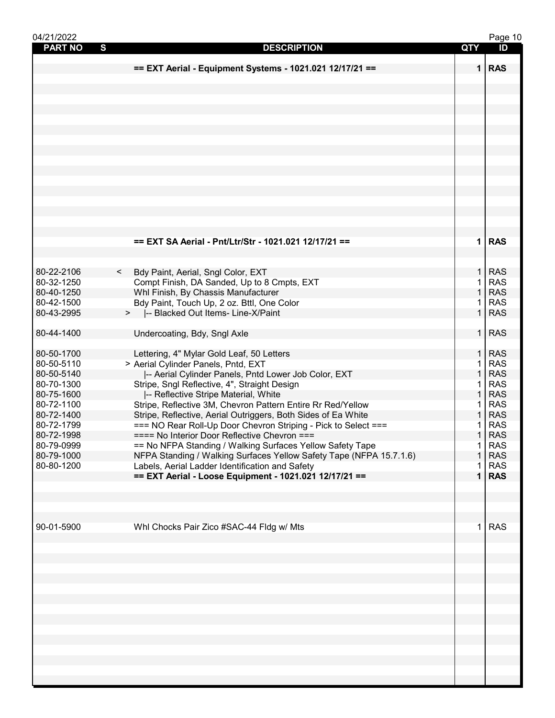| 04/21/2022                     |                                                                                                                        |                   | Page 10                  |
|--------------------------------|------------------------------------------------------------------------------------------------------------------------|-------------------|--------------------------|
| $\mathbf{s}$<br><b>PART NO</b> | <b>DESCRIPTION</b>                                                                                                     | <b>QTY</b>        | ID                       |
|                                |                                                                                                                        |                   |                          |
|                                | == EXT Aerial - Equipment Systems - 1021.021 12/17/21 ==                                                               |                   | $1$ RAS                  |
|                                |                                                                                                                        |                   |                          |
|                                |                                                                                                                        |                   |                          |
|                                |                                                                                                                        |                   |                          |
|                                |                                                                                                                        |                   |                          |
|                                |                                                                                                                        |                   |                          |
|                                |                                                                                                                        |                   |                          |
|                                |                                                                                                                        |                   |                          |
|                                |                                                                                                                        |                   |                          |
|                                |                                                                                                                        |                   |                          |
|                                |                                                                                                                        |                   |                          |
|                                |                                                                                                                        |                   |                          |
|                                |                                                                                                                        |                   |                          |
|                                |                                                                                                                        |                   |                          |
|                                |                                                                                                                        |                   |                          |
|                                |                                                                                                                        |                   |                          |
|                                |                                                                                                                        |                   |                          |
|                                | == EXT SA Aerial - Pnt/Ltr/Str - 1021.021 12/17/21 ==                                                                  |                   | $1$ RAS                  |
|                                |                                                                                                                        |                   |                          |
|                                |                                                                                                                        |                   |                          |
| 80-22-2106                     | Bdy Paint, Aerial, Sngl Color, EXT<br>$\lt$                                                                            | $\mathbf 1$       | <b>RAS</b>               |
| 80-32-1250                     | Compt Finish, DA Sanded, Up to 8 Cmpts, EXT                                                                            | 1                 | <b>RAS</b>               |
| 80-40-1250                     | Whl Finish, By Chassis Manufacturer                                                                                    | $\mathbf{1}$      | <b>RAS</b>               |
| 80-42-1500                     | Bdy Paint, Touch Up, 2 oz. Bttl, One Color                                                                             |                   | <b>RAS</b>               |
| 80-43-2995                     | >  -- Blacked Out Items- Line-X/Paint                                                                                  | $\mathbf{1}$      | <b>RAS</b>               |
|                                |                                                                                                                        |                   |                          |
| 80-44-1400                     | Undercoating, Bdy, Sngl Axle                                                                                           | $\mathbf{1}$      | <b>RAS</b>               |
|                                |                                                                                                                        |                   |                          |
| 80-50-1700                     | Lettering, 4" Mylar Gold Leaf, 50 Letters                                                                              | 1.                | <b>RAS</b>               |
| 80-50-5110                     | > Aerial Cylinder Panels, Pntd, EXT                                                                                    | 1                 | <b>RAS</b>               |
| 80-50-5140                     | -- Aerial Cylinder Panels, Pntd Lower Job Color, EXT                                                                   | 1                 | <b>RAS</b>               |
| 80-70-1300                     | Stripe, Sngl Reflective, 4", Straight Design                                                                           | 1<br>$\mathbf{1}$ | <b>RAS</b>               |
| 80-75-1600<br>80-72-1100       | -- Reflective Stripe Material, White<br>Stripe, Reflective 3M, Chevron Pattern Entire Rr Red/Yellow                    | 1                 | <b>RAS</b><br><b>RAS</b> |
| 80-72-1400                     |                                                                                                                        | 1                 | <b>RAS</b>               |
| 80-72-1799                     | Stripe, Reflective, Aerial Outriggers, Both Sides of Ea White                                                          |                   | <b>RAS</b>               |
|                                | === NO Rear Roll-Up Door Chevron Striping - Pick to Select ===<br>==== No Interior Door Reflective Chevron ===         | 1<br>$\mathbf{1}$ | <b>RAS</b>               |
| 80-72-1998<br>80-79-0999       |                                                                                                                        | 1                 | <b>RAS</b>               |
| 80-79-1000                     | == No NFPA Standing / Walking Surfaces Yellow Safety Tape                                                              |                   | <b>RAS</b>               |
| 80-80-1200                     | NFPA Standing / Walking Surfaces Yellow Safety Tape (NFPA 15.7.1.6)<br>Labels, Aerial Ladder Identification and Safety |                   | <b>RAS</b>               |
|                                | == EXT Aerial - Loose Equipment - 1021.021 12/17/21 ==                                                                 | $\mathbf 1$       | <b>RAS</b>               |
|                                |                                                                                                                        |                   |                          |
|                                |                                                                                                                        |                   |                          |
|                                |                                                                                                                        |                   |                          |
|                                |                                                                                                                        |                   |                          |
| 90-01-5900                     | Whl Chocks Pair Zico #SAC-44 Fldg w/ Mts                                                                               |                   | <b>RAS</b>               |
|                                |                                                                                                                        |                   |                          |
|                                |                                                                                                                        |                   |                          |
|                                |                                                                                                                        |                   |                          |
|                                |                                                                                                                        |                   |                          |
|                                |                                                                                                                        |                   |                          |
|                                |                                                                                                                        |                   |                          |
|                                |                                                                                                                        |                   |                          |
|                                |                                                                                                                        |                   |                          |
|                                |                                                                                                                        |                   |                          |
|                                |                                                                                                                        |                   |                          |
|                                |                                                                                                                        |                   |                          |
|                                |                                                                                                                        |                   |                          |
|                                |                                                                                                                        |                   |                          |
|                                |                                                                                                                        |                   |                          |
|                                |                                                                                                                        |                   |                          |